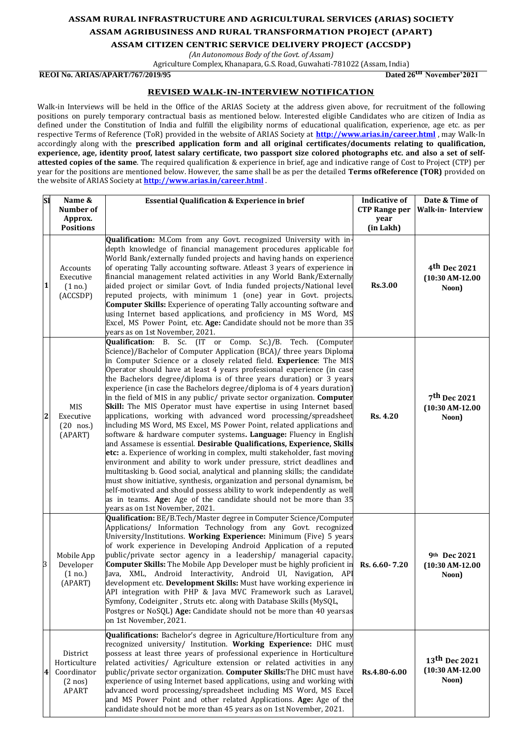## **ASSAM RURAL INFRASTRUCTURE AND AGRICULTURAL SERVICES (ARIAS) SOCIETY ASSAM AGRIBUSINESS AND RURAL TRANSFORMATION PROJECT (APART)**

**ASSAM CITIZEN CENTRIC SERVICE DELIVERY PROJECT (ACCSDP)**

*(An Autonomous Body of the Govt. of Assam)* Agriculture Complex, Khanapara, G.S. Road, Guwahati-781022 (Assam, India)

## **REOI No. ARIAS/APART/767/2019/95 Dated 26th November'2021**

## **REVISED WALK-IN-INTERVIEW NOTIFICATION**

Walk-in Interviews will be held in the Office of the ARIAS Society at the address given above, for recruitment of the following positions on purely temporary contractual basis as mentioned below. Interested eligible Candidates who are citizen of India as defined under the Constitution of India and fulfill the eligibility norms of educational qualification, experience, age etc. as per respective Terms of Reference (ToR) provided in the website of ARIAS Society at **<http://www.arias.in/career.html>** , may Walk-In accordingly along with the **prescribed application form and all original certificates/documents relating to qualification, experience, age, identity proof, latest salary certificate, two passport size colored photographs etc. and also a set of selfattested copies of the same**. The required qualification & experience in brief, age and indicative range of Cost to Project (CTP) per year for the positions are mentioned below. However, the same shall be as per the detailed **Terms ofReference (TOR)** provided on the website of ARIAS Society at **<http://www.arias.in/career.html>** .

|   | <b>SI</b><br>Name &<br>Number of<br>Approx.                                       | <b>Essential Qualification &amp; Experience in brief</b>                                                                                                                                                                                                                                                                                                                                                                                                                                                                                                                                                                                                                                                                                                                                                                                                                                                                                                                                                                                                                                                                                                                                                                                                                                                                                                                                  | <b>Indicative of</b><br><b>CTP Range per</b><br>year | Date & Time of<br><b>Walk-in-Interview</b>             |
|---|-----------------------------------------------------------------------------------|-------------------------------------------------------------------------------------------------------------------------------------------------------------------------------------------------------------------------------------------------------------------------------------------------------------------------------------------------------------------------------------------------------------------------------------------------------------------------------------------------------------------------------------------------------------------------------------------------------------------------------------------------------------------------------------------------------------------------------------------------------------------------------------------------------------------------------------------------------------------------------------------------------------------------------------------------------------------------------------------------------------------------------------------------------------------------------------------------------------------------------------------------------------------------------------------------------------------------------------------------------------------------------------------------------------------------------------------------------------------------------------------|------------------------------------------------------|--------------------------------------------------------|
|   | <b>Positions</b>                                                                  |                                                                                                                                                                                                                                                                                                                                                                                                                                                                                                                                                                                                                                                                                                                                                                                                                                                                                                                                                                                                                                                                                                                                                                                                                                                                                                                                                                                           | (in Lakh)                                            |                                                        |
|   | Accounts<br>Executive<br>$\mathbf 1$<br>(1 no.)<br>(ACCSDP)                       | Qualification: M.Com from any Govt. recognized University with in-<br>depth knowledge of financial management procedures applicable for<br>World Bank/externally funded projects and having hands on experience<br>of operating Tally accounting software. Atleast 3 years of experience in<br>financial management related activities in any World Bank/Externally<br>aided project or similar Govt. of India funded projects/National level<br>reputed projects, with minimum 1 (one) year in Govt. projects.<br><b>Computer Skills:</b> Experience of operating Tally accounting software and<br>using Internet based applications, and proficiency in MS Word, MS<br>Excel, MS Power Point, etc. Age: Candidate should not be more than 35<br>years as on 1st November, 2021.                                                                                                                                                                                                                                                                                                                                                                                                                                                                                                                                                                                                         | <b>Rs.3.00</b>                                       | 4 <sup>th</sup> Dec 2021<br>$(10:30$ AM-12.00<br>Noon) |
|   | MIS<br>$\overline{2}$<br>Executive<br>$(20$ nos.)<br>(APART)                      | Qualification: B. Sc. (IT or Comp. Sc.)/B. Tech.<br>(Computer<br>Science)/Bachelor of Computer Application (BCA)/ three years Diploma<br>in Computer Science or a closely related field. Experience: The MIS<br>Operator should have at least 4 years professional experience (in case<br>the Bachelors degree/diploma is of three years duration) or 3 years<br>experience (in case the Bachelors degree/diploma is of 4 years duration)<br>in the field of MIS in any public/ private sector organization. Computer<br>Skill: The MIS Operator must have expertise in using Internet based<br>applications, working with advanced word processing/spreadsheet<br>including MS Word, MS Excel, MS Power Point, related applications and<br>software & hardware computer systems. Language: Fluency in English<br>and Assamese is essential. Desirable Qualifications, Experience, Skills<br>etc: a. Experience of working in complex, multi stakeholder, fast moving<br>environment and ability to work under pressure, strict deadlines and<br>multitasking b. Good social, analytical and planning skills; the candidate<br>must show initiative, synthesis, organization and personal dynamism, be<br>self-motivated and should possess ability to work independently as well<br>as in teams. Age: Age of the candidate should not be more than 35<br>years as on 1st November, 2021. | <b>Rs. 4.20</b>                                      | 7 <sup>th</sup> Dec 2021<br>$(10:30$ AM-12.00<br>Noon) |
| 3 | Mobile App<br>Developer<br>(1 no.)<br>(APART)                                     | Qualification: BE/B.Tech/Master degree in Computer Science/Computer<br>Applications/ Information Technology from any Govt. recognized<br>University/Institutions. Working Experience: Minimum (Five) 5 years<br>of work experience in Developing Android Application of a reputed<br>public/private sector agency in a leadership/ managerial capacity.<br>Computer Skills: The Mobile App Developer must be highly proficient in<br>Java, XML, Android Interactivity, Android UI, Navigation, API<br>development etc. Development Skills: Must have working experience in<br>API integration with PHP & Java MVC Framework such as Laravel<br>Symfony, Codeigniter, Struts etc. along with Database Skills (MySQL,<br>Postgres or NoSQL) Age: Candidate should not be more than 40 yearsas<br>on 1st November, 2021.                                                                                                                                                                                                                                                                                                                                                                                                                                                                                                                                                                     | Rs. 6.60-7.20                                        | 9th Dec 2021<br>$(10:30$ AM-12.00<br>Noon)             |
|   | District<br>Horticulture<br>Coordinator<br>4<br>$(2 \text{ nos})$<br><b>APART</b> | Qualifications: Bachelor's degree in Agriculture/Horticulture from any<br>recognized university/ Institution. Working Experience: DHC must<br>possess at least three years of professional experience in Horticulture<br>related activities/ Agriculture extension or related activities in any<br>public/private sector organization. Computer Skills: The DHC must have<br>experience of using Internet based applications, using and working with<br>advanced word processing/spreadsheet including MS Word, MS Excel<br>and MS Power Point and other related Applications. Age: Age of the<br>candidate should not be more than 45 years as on 1st November, 2021.                                                                                                                                                                                                                                                                                                                                                                                                                                                                                                                                                                                                                                                                                                                    | Rs.4.80-6.00                                         | 13th Dec 2021<br>$(10:30$ AM-12.00<br>Noon)            |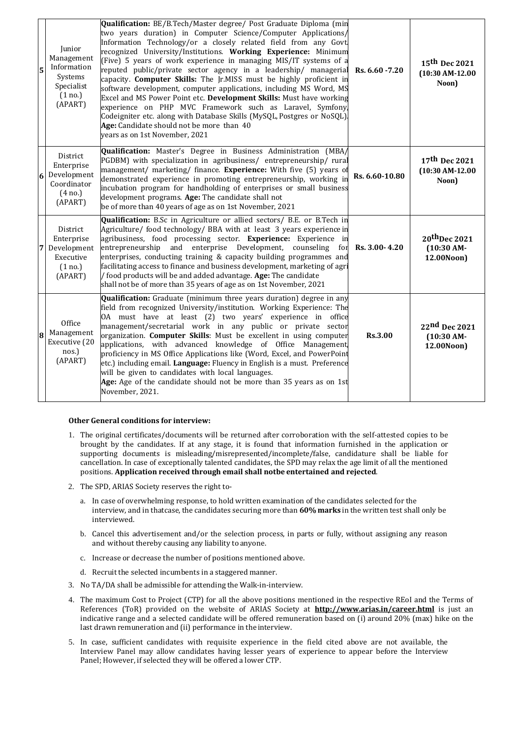| 5 | Junior<br>Management<br>Information<br>Systems<br>Specialist<br>(1 no.)<br>(APART)   | Qualification: BE/B.Tech/Master degree/ Post Graduate Diploma (min<br>two years duration) in Computer Science/Computer Applications/<br>Information Technology/or a closely related field from any Govt.<br>recognized University/Institutions. Working Experience: Minimum<br>(Five) 5 years of work experience in managing MIS/IT systems of a<br>reputed public/private sector agency in a leadership/ managerial<br>capacity. Computer Skills: The Jr.MISS must be highly proficient in<br>software development, computer applications, including MS Word, MS<br>Excel and MS Power Point etc. Development Skills: Must have working<br>experience on PHP MVC Framework such as Laravel, Symfony<br>Codeigniter etc. along with Database Skills (MySQL, Postgres or NoSQL).<br>Age: Candidate should not be more than 40<br>years as on 1st November, 2021 | Rs. 6.60 - 7.20 | 15th Dec 2021<br>$(10:30 \text{ AM-}12.00)$<br>Noon) |
|---|--------------------------------------------------------------------------------------|----------------------------------------------------------------------------------------------------------------------------------------------------------------------------------------------------------------------------------------------------------------------------------------------------------------------------------------------------------------------------------------------------------------------------------------------------------------------------------------------------------------------------------------------------------------------------------------------------------------------------------------------------------------------------------------------------------------------------------------------------------------------------------------------------------------------------------------------------------------|-----------------|------------------------------------------------------|
| 6 | District<br>Enterprise<br>Development<br>Coordinator<br>$(4 \text{ no.})$<br>(APART) | Qualification: Master's Degree in Business Administration (MBA/<br>PGDBM) with specialization in agribusiness/ entrepreneurship/ rural<br>management/ marketing/ finance. <b>Experience:</b> With five (5) years of<br>demonstrated experience in promoting entrepreneurship, working in<br>incubation program for handholding of enterprises or small business<br>development programs. Age: The candidate shall not<br>be of more than 40 years of age as on 1st November, 2021                                                                                                                                                                                                                                                                                                                                                                              | Rs. 6.60-10.80  | 17th Dec 2021<br>$(10:30$ AM-12.00<br>Noon)          |
| 7 | District<br>Enterprise<br>Development<br>Executive<br>(1 no.)<br>(APART)             | Qualification: B.Sc in Agriculture or allied sectors/ B.E. or B.Tech in<br>Agriculture/ food technology/ BBA with at least 3 years experience in<br>agribusiness, food processing sector. Experience: Experience in<br>entrepreneurship and enterprise Development, counseling<br>for<br>enterprises, conducting training & capacity building programmes and<br>facilitating access to finance and business development, marketing of agri<br>/ food products will be and added advantage. Age: The candidate<br>shall not be of more than 35 years of age as on 1st November, 2021                                                                                                                                                                                                                                                                            | Rs. 3.00-4.20   | 20th Dec 2021<br>$(10:30$ AM-<br>12.00Noon)          |
| 8 | Office<br>Management<br>Executive (20<br>nos.)<br>(APART)                            | <b>Qualification:</b> Graduate (minimum three years duration) degree in any<br>field from recognized University/institution. Working Experience: The<br>OA must have at least (2) two years' experience in office<br>management/secretarial work in any public or private sector<br>organization. Computer Skills: Must be excellent in using computer<br>applications, with advanced knowledge of Office Management<br>proficiency in MS Office Applications like (Word, Excel, and PowerPoint<br>etc.) including email. Language: Fluency in English is a must. Preference<br>will be given to candidates with local languages.<br>Age: Age of the candidate should not be more than 35 years as on 1st<br>November, 2021.                                                                                                                                   | <b>Rs.3.00</b>  | 22nd Dec 2021<br>$(10:30$ AM-<br>12.00Noon)          |

## **Other General conditions for interview:**

- 1. The original certificates/documents will be returned after corroboration with the self-attested copies to be brought by the candidates. If at any stage, it is found that information furnished in the application or supporting documents is misleading/misrepresented/incomplete/false, candidature shall be liable for cancellation. In case of exceptionally talented candidates, the SPD may relax the age limit of all the mentioned positions. **Application received through email shall notbe entertained and rejected**.
- 2. The SPD, ARIAS Society reserves the right to
	- a. In case of overwhelming response, to hold written examination of the candidates selected for the interview, and in thatcase, the candidates securing more than **60%marks** in the written test shall only be interviewed.
	- b. Cancel this advertisement and/or the selection process, in parts or fully, without assigning any reason and without thereby causing any liability to anyone.
	- c. Increase or decrease the number of positions mentioned above.
	- d. Recruit the selected incumbents in a staggered manner.
- 3. No TA/DA shall be admissible for attending the Walk-in-interview.
- 4. The maximum Cost to Project (CTP) for all the above positions mentioned in the respective REoI and the Terms of References (ToR) provided on the website of ARIAS Society at **<http://www.arias.in/career.html>** is just an indicative range and a selected candidate will be offered remuneration based on (i) around 20% (max) hike on the last drawn remuneration and (ii) performance in the interview.
- 5. In case, sufficient candidates with requisite experience in the field cited above are not available, the Interview Panel may allow candidates having lesser years of experience to appear before the Interview Panel; However, if selected they will be offered a lower CTP.